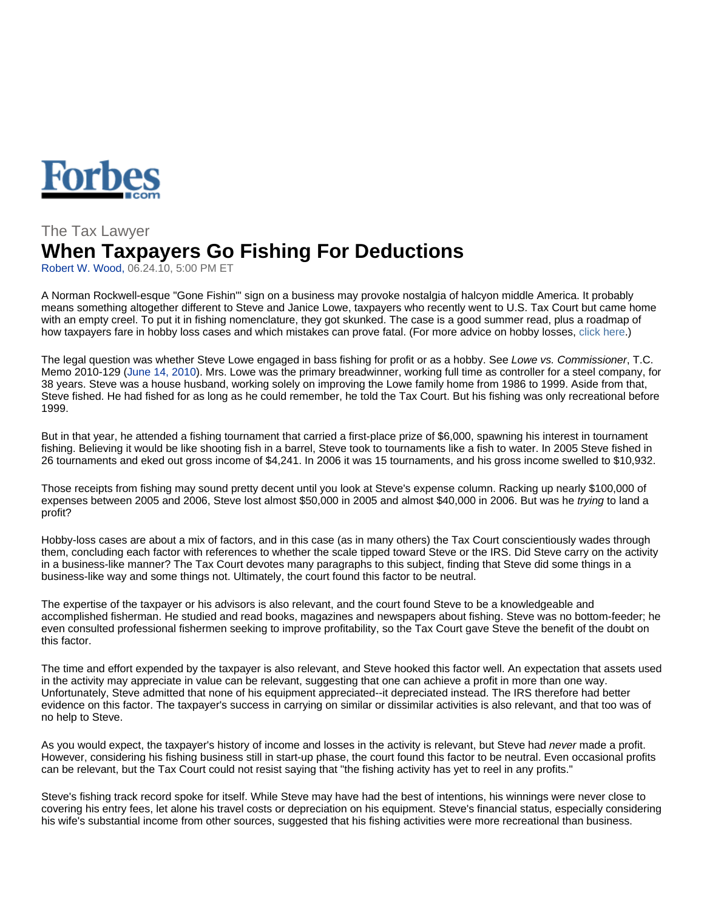

## The Tax Lawyer **When Taxpayers Go Fishing For Deductions** Robert W. Wood, 06.24.10, 5:00 PM ET

A Norman Rockwell-esque "Gone Fishin'" sign on a business may provoke nostalgia of halcyon middle America. It probably means something altogether different to Steve and Janice Lowe, taxpayers who recently went to U.S. Tax Court but came home with an empty creel. To put it in fishing nomenclature, they got skunked. The case is a good summer read, plus a roadmap of how taxpayers fare in hobby loss cases and which mistakes can prove fatal. (For more advice on hobby losses, click here.)

The legal question was whether Steve Lowe engaged in bass fishing for profit or as a hobby. See *Lowe vs. Commissioner*, T.C. Memo 2010-129 (June 14, 2010). Mrs. Lowe was the primary breadwinner, working full time as controller for a steel company, for 38 years. Steve was a house husband, working solely on improving the Lowe family home from 1986 to 1999. Aside from that, Steve fished. He had fished for as long as he could remember, he told the Tax Court. But his fishing was only recreational before 1999.

But in that year, he attended a fishing tournament that carried a first-place prize of \$6,000, spawning his interest in tournament fishing. Believing it would be like shooting fish in a barrel, Steve took to tournaments like a fish to water. In 2005 Steve fished in 26 tournaments and eked out gross income of \$4,241. In 2006 it was 15 tournaments, and his gross income swelled to \$10,932.

Those receipts from fishing may sound pretty decent until you look at Steve's expense column. Racking up nearly \$100,000 of expenses between 2005 and 2006, Steve lost almost \$50,000 in 2005 and almost \$40,000 in 2006. But was he *trying* to land a profit?

Hobby-loss cases are about a mix of factors, and in this case (as in many others) the Tax Court conscientiously wades through them, concluding each factor with references to whether the scale tipped toward Steve or the IRS. Did Steve carry on the activity in a business-like manner? The Tax Court devotes many paragraphs to this subject, finding that Steve did some things in a business-like way and some things not. Ultimately, the court found this factor to be neutral.

The expertise of the taxpayer or his advisors is also relevant, and the court found Steve to be a knowledgeable and accomplished fisherman. He studied and read books, magazines and newspapers about fishing. Steve was no bottom-feeder; he even consulted professional fishermen seeking to improve profitability, so the Tax Court gave Steve the benefit of the doubt on this factor.

The time and effort expended by the taxpayer is also relevant, and Steve hooked this factor well. An expectation that assets used in the activity may appreciate in value can be relevant, suggesting that one can achieve a profit in more than one way. Unfortunately, Steve admitted that none of his equipment appreciated--it depreciated instead. The IRS therefore had better evidence on this factor. The taxpayer's success in carrying on similar or dissimilar activities is also relevant, and that too was of no help to Steve.

As you would expect, the taxpayer's history of income and losses in the activity is relevant, but Steve had *never* made a profit. However, considering his fishing business still in start-up phase, the court found this factor to be neutral. Even occasional profits can be relevant, but the Tax Court could not resist saying that "the fishing activity has yet to reel in any profits."

Steve's fishing track record spoke for itself. While Steve may have had the best of intentions, his winnings were never close to covering his entry fees, let alone his travel costs or depreciation on his equipment. Steve's financial status, especially considering his wife's substantial income from other sources, suggested that his fishing activities were more recreational than business.